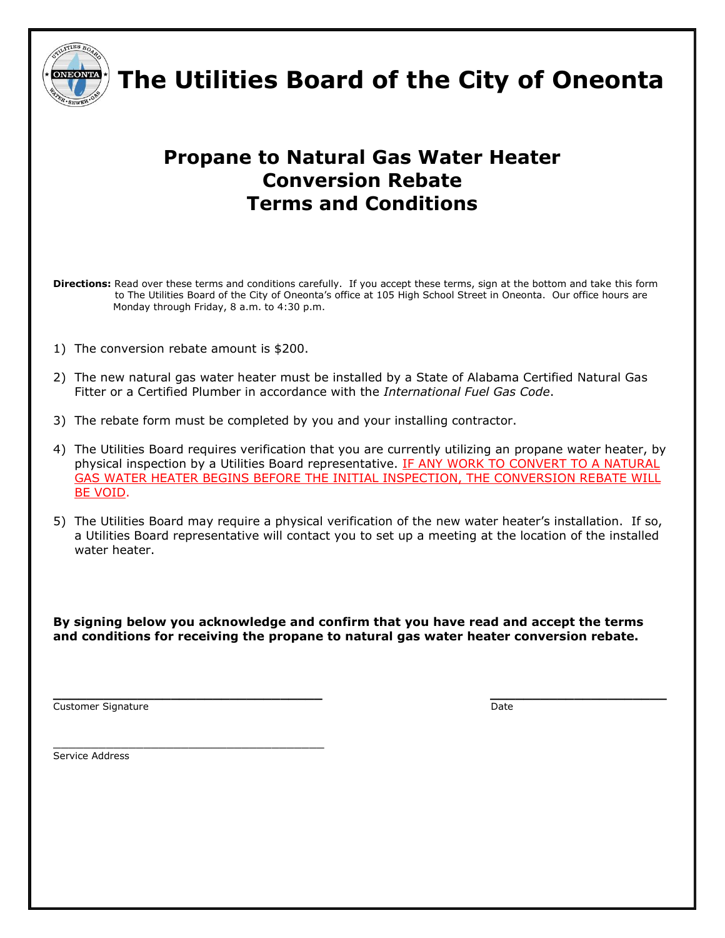

 **The Utilities Board of the City of Oneonta**

## **Propane to Natural Gas Water Heater Conversion Rebate Terms and Conditions**

**Directions:** Read over these terms and conditions carefully. If you accept these terms, sign at the bottom and take this form to The Utilities Board of the City of Oneonta's office at 105 High School Street in Oneonta. Our office hours are Monday through Friday, 8 a.m. to 4:30 p.m.

1) The conversion rebate amount is \$200.

\_\_\_\_\_\_\_\_\_\_\_\_\_\_\_\_\_\_\_\_\_\_\_\_\_\_\_\_\_\_\_\_\_\_\_\_

- 2) The new natural gas water heater must be installed by a State of Alabama Certified Natural Gas Fitter or a Certified Plumber in accordance with the *International Fuel Gas Code*.
- 3) The rebate form must be completed by you and your installing contractor.
- 4) The Utilities Board requires verification that you are currently utilizing an propane water heater, by physical inspection by a Utilities Board representative. IF ANY WORK TO CONVERT TO A NATURAL GAS WATER HEATER BEGINS BEFORE THE INITIAL INSPECTION, THE CONVERSION REBATE WILL BE VOID.
- 5) The Utilities Board may require a physical verification of the new water heater's installation. If so, a Utilities Board representative will contact you to set up a meeting at the location of the installed water heater.

**By signing below you acknowledge and confirm that you have read and accept the terms and conditions for receiving the propane to natural gas water heater conversion rebate.**

Customer Signature **Date** Date of Customer Signature **Date** 

**\_\_\_\_\_\_\_\_\_\_\_\_\_\_\_\_\_\_\_\_\_\_\_\_\_\_\_\_\_\_\_\_ \_\_\_\_\_\_\_\_\_\_\_\_\_\_\_\_\_\_\_\_\_**

Service Address